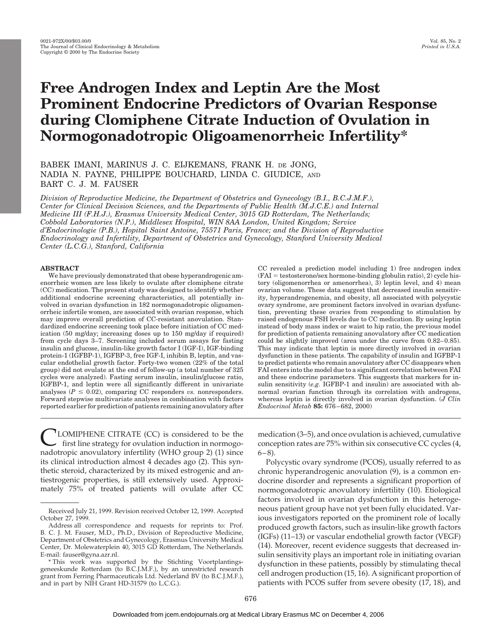# **Free Androgen Index and Leptin Are the Most Prominent Endocrine Predictors of Ovarian Response during Clomiphene Citrate Induction of Ovulation in Normogonadotropic Oligoamenorrheic Infertility\***

# BABEK IMANI, MARINUS J. C. EIJKEMANS, FRANK H. DE JONG, NADIA N. PAYNE, PHILIPPE BOUCHARD, LINDA C. GIUDICE, AND BART C. J. M. FAUSER

*Division of Reproductive Medicine, the Department of Obstetrics and Gynecology (B.I., B.C.J.M.F.), Center for Clinical Decision Sciences, and the Departments of Public Health (M.J.C.E.) and Internal Medicine III (F.H.J.), Erasmus University Medical Center, 3015 GD Rotterdam, The Netherlands; Cobbold Laboratories (N.P.), Middlesex Hospital, WIN 8AA London, United Kingdom; Service d'Endocrinologie (P.B.), Hopital Saint Antoine, 75571 Paris, France; and the Division of Reproductive Endocrinology and Infertility, Department of Obstetrics and Gynecology, Stanford University Medical Center (L.C.G.), Stanford, California*

# **ABSTRACT**

We have previously demonstrated that obese hyperandrogenic amenorrheic women are less likely to ovulate after clomiphene citrate (CC) medication. The present study was designed to identify whether additional endocrine screening characteristics, all potentially involved in ovarian dysfunction in 182 normogonadotropic oligoamenorrheic infertile women, are associated with ovarian response, which may improve overall prediction of CC-resistant anovulation. Standardized endocrine screening took place before initiation of CC medication (50 mg/day; increasing doses up to 150 mg/day if required) from cycle days 3–7. Screening included serum assays for fasting insulin and glucose, insulin-like growth factor I (IGF-I), IGF-binding protein-1 (IGFBP-1), IGFBP-3, free IGF-I, inhibin B, leptin, and vascular endothelial growth factor. Forty-two women (22% of the total group) did not ovulate at the end of follow-up (a total number of 325 cycles were analyzed). Fasting serum insulin, insulin/glucose ratio, IGFBP-1, and leptin were all significantly different in univariate analyses ( $P \le 0.02$ ), comparing CC responders *vs.* nonresponders. Forward stepwise multivariate analyses in combination with factors reported earlier for prediction of patients remaining anovulatory after

CC revealed a prediction model including 1) free androgen index  $(FAI = testosterone/sex hormone-binding globulin ratio), 2) cycle his$ tory (oligomenorrhea or amenorrhea), 3) leptin level, and 4) mean ovarian volume. These data suggest that decreased insulin sensitivity, hyperandrogenemia, and obesity, all associated with polycystic ovary syndrome, are prominent factors involved in ovarian dysfunction, preventing these ovaries from responding to stimulation by raised endogenous FSH levels due to CC medication. By using leptin instead of body mass index or waist to hip ratio, the previous model for prediction of patients remaining anovulatory after CC medication could be slightly improved (area under the curve from 0.82–0.85). This may indicate that leptin is more directly involved in ovarian dysfunction in these patients. The capability of insulin and IGFBP-1 to predict patients who remain anovulatory after CC disappears when FAI enters into the model due to a significant correlation between FAI and these endocrine parameters. This suggests that markers for insulin sensitivity (*e.g.* IGFBP-1 and insulin) are associated with abnormal ovarian function through its correlation with androgens, whereas leptin is directly involved in ovarian dysfunction. (*J Clin Endocrinol Metab* **85:** 676–682, 2000)

<sup>1</sup>LOMIPHENE CITRATE (CC) is considered to be the first line strategy for ovulation induction in normogonadotropic anovulatory infertility (WHO group 2) (1) since its clinical introduction almost 4 decades ago (2). This synthetic steroid, characterized by its mixed estrogenic and antiestrogenic properties, is still extensively used. Approximately 75% of treated patients will ovulate after CC

medication (3–5), and once ovulation is achieved, cumulative conception rates are 75% within six consecutive CC cycles (4,  $6-8$ ).

Polycystic ovary syndrome (PCOS), usually referred to as chronic hyperandrogenic anovulation (9), is a common endocrine disorder and represents a significant proportion of normogonadotropic anovulatory infertility (10). Etiological factors involved in ovarian dysfunction in this heterogeneous patient group have not yet been fully elucidated. Various investigators reported on the prominent role of locally produced growth factors, such as insulin-like growth factors (IGFs) (11–13) or vascular endothelial growth factor (VEGF) (14). Moreover, recent evidence suggests that decreased insulin sensitivity plays an important role in initiating ovarian dysfunction in these patients, possibly by stimulating thecal cell androgen production (15, 16). A significant proportion of patients with PCOS suffer from severe obesity (17, 18), and

Received July 21, 1999. Revision received October 12, 1999. Accepted October 27, 1999.

Address all correspondence and requests for reprints to: Prof. B. C. J. M. Fauser, M.D., Ph.D., Division of Reproductive Medicine, Department of Obstetrics and Gynecology, Erasmus University Medical Center, Dr. Molewaterplein 40, 3015 GD Rotterdam, The Netherlands. E-mail: fauser@gyna.azr.nl.

<sup>\*</sup> This work was supported by the Stichting Voortplantingsgeneeskunde Rotterdam (to B.C.J.M.F.), by an unrestricted research grant from Ferring Pharmaceuticals Ltd. Nederland BV (to B.C.J.M.F.), and in part by NIH Grant HD-31579 (to L.C.G.).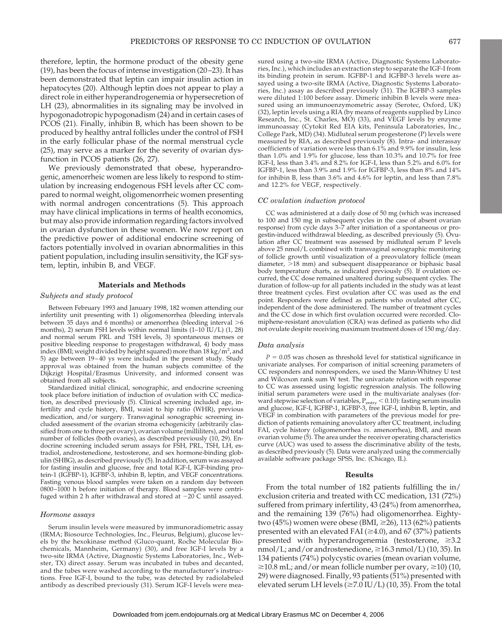therefore, leptin, the hormone product of the obesity gene (19), has been the focus of intense investigation (20–23). It has been demonstrated that leptin can impair insulin action in hepatocytes (20). Although leptin does not appear to play a direct role in either hyperandrogenemia or hypersecretion of LH (23), abnormalities in its signaling may be involved in hypogonadotropic hypogonadism (24) and in certain cases of PCOS (21). Finally, inhibin B, which has been shown to be produced by healthy antral follicles under the control of FSH in the early follicular phase of the normal menstrual cycle (25), may serve as a marker for the severity of ovarian dysfunction in PCOS patients (26, 27).

We previously demonstrated that obese, hyperandrogenic, amenorrheic women are less likely to respond to stimulation by increasing endogenous FSH levels after CC compared to normal weight, oligomenorrheic women presenting with normal androgen concentrations (5). This approach may have clinical implications in terms of health economics, but may also provide information regarding factors involved in ovarian dysfunction in these women. We now report on the predictive power of additional endocrine screening of factors potentially involved in ovarian abnormalities in this patient population, including insulin sensitivity, the IGF system, leptin, inhibin B, and VEGF.

# **Materials and Methods**

# *Subjects and study protocol*

Between February 1993 and January 1998, 182 women attending our infertility unit presenting with 1) oligomenorrhea (bleeding intervals between 35 days and 6 months) or amenorrhea (bleeding interval  $>6$ months), 2) serum FSH levels within normal limits (1–10 IU/L) (1, 28) and normal serum PRL and TSH levels, 3) spontaneous menses or positive bleeding response to progestagen withdrawal, 4) body mass index (BMI; weight divided by height squared) more than  $18 \text{ kg/m}^2$ , and 5) age between 19–40 ys were included in the present study. Study approval was obtained from the human subjects committee of the Dijkzigt Hospital/Erasmus University, and informed consent was obtained from all subjects.

Standardized initial clinical, sonographic, and endocrine screening took place before initiation of induction of ovulation with CC medication, as described previously (5). Clinical screening included age, infertility and cycle history, BMI, waist to hip ratio (WHR), previous medication, and/or surgery. Transvaginal sonographic screening included assessment of the ovarian stroma echogenicity (arbitrarily classified from one to three per ovary), ovarian volume (milliliters), and total number of follicles (both ovaries), as described previously (10, 29). Endocrine screening included serum assays for FSH, PRL, TSH, LH, estradiol, androstenedione, testosterone, and sex hormone-binding globulin (SHBG), as described previously (5). In addition, serum was assayed for fasting insulin and glucose, free and total IGF-I, IGF-binding protein-1 (IGFBP-1), IGFBP-3, inhibin B, leptin, and VEGF concentrations. Fasting venous blood samples were taken on a random day between 0800–1000 h before initiation of therapy. Blood samples were centrifuged within 2 h after withdrawal and stored at  $-20$  C until assayed.

# *Hormone assays*

Serum insulin levels were measured by immunoradiometric assay (IRMA; Biosource Technologies, Inc., Fleurus, Belgium), glucose levels by the hexokinase method (Gluco-quant, Roche Molecular Biochemicals, Mannheim, Germany) (30), and free IGF-I levels by a two-site IRMA (Active, Diagnostic Systems Laboratories, Inc., Webster, TX) direct assay. Serum was incubated in tubes and decanted, and the tubes were washed according to the manufacturer's instructions. Free IGF-I, bound to the tube, was detected by radiolabeled antibody as described previously (31). Serum IGF-I levels were measured using a two-site IRMA (Active, Diagnostic Systems Laboratories, Inc.), which includes an extraction step to separate the IGF-I from its binding protein in serum. IGFBP-1 and IGFBP-3 levels were assayed using a two-site IRMA (Active, Diagnostic Systems Laboratories, Inc.) assay as described previously (31). The IGFBP-3 samples were diluted 1:100 before assay. Dimeric inhibin B levels were measured using an immunoenzymometric assay (Serotec, Oxford, UK) (32), leptin levels using a RIA (by means of reagents supplied by Linco Research, Inc., St. Charles, MO) (33), and VEGF levels by enzyme immunoassay (Cytokit Red EIA kits, Peninsula Laboratories, Inc., College Park, MD) (34). Midluteal serum progesterone (P) levels were measured by RIA, as described previously (8). Intra- and interassay coefficients of variation were less than 6.1% and 9.9% for insulin, less than 1.0% and 1.9% for glucose, less than 10.3% and 10.7% for free IGF-I, less than 3.4% and 8.2% for IGF-I, less than 5.2% and 6.0% for IGFBP-1, less than 3.9% and 1.9% for IGFBP-3, less than 8% and 14% for inhibin B, less than 3.6% and 4.6% for leptin, and less than 7.8% and 12.2% for VEGF, respectively.

#### *CC ovulation induction protocol*

CC was administered at a daily dose of 50 mg (which was increased to 100 and 150 mg in subsequent cycles in the case of absent ovarian response) from cycle days 3–7 after initiation of a spontaneous or progestin-induced withdrawal bleeding, as described previously (5). Ovulation after CC treatment was assessed by midluteal serum P levels above 25 nmol/L combined with transvaginal sonographic monitoring of follicle growth until visualization of a preovulatory follicle (mean diameter,  $>18$  mm) and subsequent disappearance or biphasic basal body temperature charts, as indicated previously (5). If ovulation occurred, the CC dose remained unaltered during subsequent cycles. The duration of follow-up for all patients included in the study was at least three treatment cycles. First ovulation after CC was used as the end point. Responders were defined as patients who ovulated after CC, independent of the dose administered. The number of treatment cycles and the CC dose in which first ovulation occurred were recorded. Clomiphene-resistant anovulation (CRA) was defined as patients who did not ovulate despite receiving maximum treatment doses of 150 mg/day.

# *Data analysis*

 $P = 0.05$  was chosen as threshold level for statistical significance in univariate analyses. For comparison of initial screening parameters of CC responders and nonresponders, we used the Mann-Whitney U test and Wilcoxon rank sum W test. The univariate relation with response to CC was assessed using logistic regression analysis. The following initial serum parameters were used in the multivariate analyses (forward stepwise selection of variables,  $P_{entry} < 0.10$ ): fasting serum insulin and glucose, IGF-I, IGFBP-1, IGFBP-3, free IGF-I, inhibin B, leptin, and VEGF in combination with parameters of the previous model for prediction of patients remaining anovulatory after CC treatment, including FAI, cycle history (oligomenorrhea *vs.* amenorrhea), BMI, and mean ovarian volume (5). The area under the receiver operating characteristics curve (AUC) was used to assess the discriminative ability of the tests, as described previously (5). Data were analyzed using the commercially available software package SPSS, Inc. (Chicago, IL).

# **Results**

From the total number of 182 patients fulfilling the in/ exclusion criteria and treated with CC medication, 131 (72%) suffered from primary infertility, 43 (24%) from amenorrhea, and the remaining 139 (76%) had oligomenorrhea. Eightytwo (45%) women were obese (BMI,  $\geq$ 26), 113 (62%) patients presented with an elevated FAI ( $\geq$ 4.0), and 67 (37%) patients presented with hyperandrogenemia (testosterone,  $\geq 3.2$ nmol/L; and/or androstenedione, ≥16.3 nmol/L) (10, 35). In 134 patients (74%) polycystic ovaries (mean ovarian volume,  $\geq$ 10.8 mL; and/or mean follicle number per ovary,  $\geq$ 10) (10, 29) were diagnosed. Finally, 93 patients (51%) presented with elevated serum LH levels ( $\geq$ 7.0 IU/L) (10, 35). From the total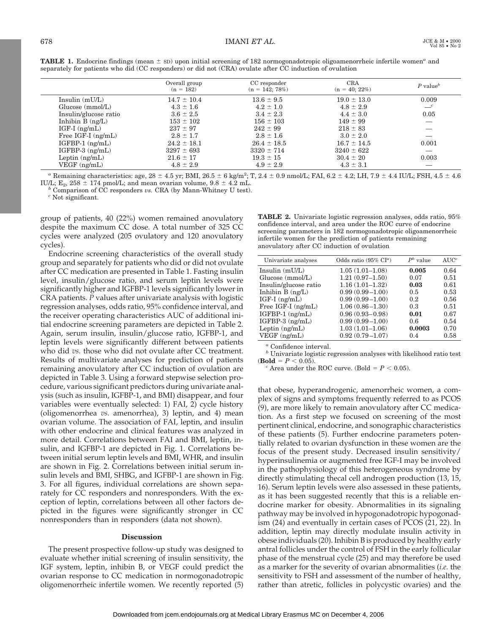| <b>TABLE 1.</b> Endocrine findings (mean $\pm$ sD) upon initial screening of 182 normogonadotropic oligoamenorrheic infertile women <sup><i>a</i></sup> and |  |
|-------------------------------------------------------------------------------------------------------------------------------------------------------------|--|
| separately for patients who did (CC responders) or did not (CRA) ovulate after CC induction of ovulation                                                    |  |

|                        | Overall group<br>$(n = 182)$ | CC responder<br>$(n = 142; 78\%)$ | <b>CRA</b><br>$(n = 40; 22\%)$ | P value <sup>b</sup> |
|------------------------|------------------------------|-----------------------------------|--------------------------------|----------------------|
| Insulin $(mU/L)$       | $14.7 \pm 10.4$              | $13.6 \pm 9.5$                    | $19.0 \pm 13.0$                | 0.009                |
| Glucose (mmol/L)       | $4.3 \pm 1.6$                | $4.2 \pm 1.0$                     | $4.8 \pm 2.9$                  | $-c$                 |
| Insulin/glucose ratio  | $3.6 \pm 2.5$                | $3.4 \pm 2.3$                     | $4.4 \pm 3.0$                  | 0.05                 |
| Inhibin $B$ $(ng/L)$   | $153 \pm 102$                | $156 \pm 103$                     | $149 \pm 99$                   |                      |
| $IGF-I$ (ng/mL)        | $237 \pm 97$                 | $242 \pm 99$                      | $218 \pm 83$                   |                      |
| Free $IGF-I$ $(ng/mL)$ | $2.8 \pm 1.7$                | $2.8 \pm 1.6$                     | $3.0 \pm 2.0$                  |                      |
| $IGFBP-1$ ( $ng/mL$ )  | $24.2 \pm 18.1$              | $26.4 \pm 18.5$                   | $16.7 \pm 14.5$                | 0.001                |
| $IGFBP-3$ $(ng/mL)$    | $3297 \pm 693$               | $3320 \pm 714$                    | $3240 \pm 622$                 |                      |
| Leptin $(ng/mL)$       | $21.6 \pm 17$                | $19.3 \pm 15$                     | $30.4 \pm 20$                  | 0.003                |
| $VEGF$ (ng/mL)         | $4.8 \pm 2.9$                | $4.9 \pm 2.9$                     | $4.3 \pm 3.1$                  |                      |

*a* Remaining characteristics: age,  $28 \pm 4.5$  yr; BMI,  $26.5 \pm 6$  kg/m<sup>2</sup>; T,  $2.4 \pm 0.9$  nmol/L; FAI,  $6.2 \pm 4.2$ ; LH,  $7.9 \pm 4.4$  IU/L; FSH,  $4.5 \pm 4.6$ IU/L;  $E_2$ , 258  $\pm$  174 pmol/L; and mean ovarian volume, 9.8  $\pm$  4.2 mL. *b* Comparison of CC responders *vs.* CRA (by Mann-Whitney U test). *c* Not significant.

group of patients, 40 (22%) women remained anovulatory despite the maximum CC dose. A total number of 325 CC cycles were analyzed (205 ovulatory and 120 anovulatory cycles).

Endocrine screening characteristics of the overall study group and separately for patients who did or did not ovulate after CC medication are presented in Table 1. Fasting insulin level, insulin/glucose ratio, and serum leptin levels were significantly higher and IGFBP-1 levels significantly lower in CRA patients. *P* values after univariate analysis with logistic regression analyses, odds ratio, 95% confidence interval, and the receiver operating characteristics AUC of additional initial endocrine screening parameters are depicted in Table 2. Again, serum insulin, insulin/glucose ratio, IGFBP-1, and leptin levels were significantly different between patients who did *vs.* those who did not ovulate after CC treatment. Results of multivariate analyses for prediction of patients remaining anovulatory after CC induction of ovulation are depicted in Table 3. Using a forward stepwise selection procedure, various significant predictors during univariate analysis (such as insulin, IGFBP-1, and BMI) disappear, and four variables were eventually selected: 1) FAI, 2) cycle history (oligomenorrhea *vs.* amenorrhea), 3) leptin, and 4) mean ovarian volume. The association of FAI, leptin, and insulin with other endocrine and clinical features was analyzed in more detail. Correlations between FAI and BMI, leptin, insulin, and IGFBP-1 are depicted in Fig. 1. Correlations between initial serum leptin levels and BMI, WHR, and insulin are shown in Fig. 2. Correlations between initial serum insulin levels and BMI, SHBG, and IGFBP-1 are shown in Fig. 3. For all figures, individual correlations are shown separately for CC responders and nonresponders. With the exception of leptin, correlations between all other factors depicted in the figures were significantly stronger in CC nonresponders than in responders (data not shown).

# **Discussion**

The present prospective follow-up study was designed to evaluate whether initial screening of insulin sensitivity, the IGF system, leptin, inhibin B, or VEGF could predict the ovarian response to CC medication in normogonadotropic oligomenorrheic infertile women. We recently reported (5)

**TABLE 2.** Univariate logistic regression analyses, odds ratio, 95% confidence interval, and area under the ROC curve of endocrine screening parameters in 182 normogonadotropic oligoamenorrheic infertile women for the prediction of patients remaining anovulatory after CC induction of ovulation

| Odds ratio $(95\% \text{ CI}^a)$ | $P^b$ value | AUC <sup>c</sup> |
|----------------------------------|-------------|------------------|
| $1.05(1.01 - 1.08)$              | 0.005       | 0.64             |
| $1.21(0.97 - 1.50)$              | 0.07        | 0.51             |
| $1.16(1.01 - 1.32)$              | 0.03        | 0.61             |
| $0.99(0.99 - 1.00)$              | 0.5         | 0.53             |
| $0.99(0.99 - 1.00)$              | 0.2         | 0.56             |
| $1.06(0.86 - 1.30)$              | 0.3         | 0.51             |
| $0.96(0.93 - 0.98)$              | 0.01        | 0.67             |
| $0.99(0.99 - 1.00)$              | 0.6         | 0.54             |
| $1.03(1.01 - 1.06)$              | 0.0003      | 0.70             |
| $0.92(0.79 - 1.07)$              | 0.4         | 0.58             |
|                                  |             |                  |

*<sup>a</sup>* Confidence interval.

*<sup>b</sup>* Univariate logistic regression analyses with likelihood ratio test (**Bold** =  $P < 0.05$ ).<br><sup>*c*</sup> Area under the ROC curve. (Bold =  $P < 0.05$ ).

that obese, hyperandrogenic, amenorrheic women, a complex of signs and symptoms frequently referred to as PCOS (9), are more likely to remain anovulatory after CC medication. As a first step we focused on screening of the most pertinent clinical, endocrine, and sonographic characteristics of these patients (5). Further endocrine parameters potentially related to ovarian dysfunction in these women are the focus of the present study. Decreased insulin sensitivity/ hyperinsulinemia or augmented free IGF-I may be involved in the pathophysiology of this heterogeneous syndrome by directly stimulating thecal cell androgen production (13, 15, 16). Serum leptin levels were also assessed in these patients, as it has been suggested recently that this is a reliable endocrine marker for obesity. Abnormalities in its signaling pathway may be involved in hypogonadotropic hypogonadism (24) and eventually in certain cases of PCOS (21, 22). In addition, leptin may directly modulate insulin activity in obese individuals (20). Inhibin B is produced by healthy early antral follicles under the control of FSH in the early follicular phase of the menstrual cycle (25) and may therefore be used as a marker for the severity of ovarian abnormalities (*i.e.* the sensitivity to FSH and assessment of the number of healthy, rather than atretic, follicles in polycystic ovaries) and the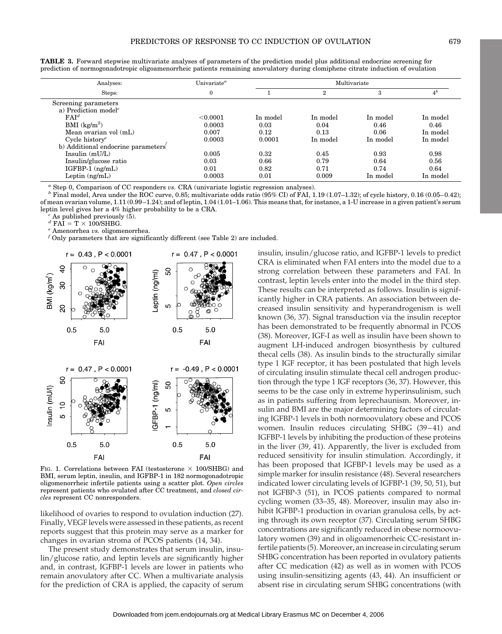| Analyses:                                                             | Univariate $^a$ | Multivariate |                |          |                |
|-----------------------------------------------------------------------|-----------------|--------------|----------------|----------|----------------|
| Steps:                                                                | $\mathbf{0}$    |              | $\overline{2}$ | 3        | 4 <sup>b</sup> |
| Screening parameters<br>a) Prediction model <sup><math>c</math></sup> |                 |              |                |          |                |
| FAI <sup>d</sup>                                                      | < 0.0001        | In model     | In model       | In model | In model       |
| BMI (kg/m <sup>2</sup> )                                              | 0.0003          | 0.03         | 0.04           | 0.46     | 0.46           |
| Mean ovarian vol (mL)                                                 | 0.007           | 0.12         | 0.13           | 0.06     | In model       |
| Cycle history <sup>e</sup>                                            | 0.0003          | 0.0001       | In model       | In model | In model       |
| b) Additional endocrine parameters'                                   |                 |              |                |          |                |
| Insulin (mU/L)                                                        | 0.005           | 0.32         | 0.45           | 0.93     | 0.98           |
| Insulin/glucose ratio                                                 | 0.03            | 0.66         | 0.79           | 0.64     | 0.56           |
| $IGFBP-1$ $(ng/mL)$                                                   | 0.01            | 0.82         | 0.71           | 0.74     | 0.64           |
| Leptin $(ng/mL)$                                                      | 0.0003          | 0.01         | 0.009          | In model | In model       |

**TABLE 3.** Forward stepwise multivariate analyses of parameters of the prediction model plus additional endocrine screening for prediction of normogonadotropic oligoamenorrheic patients remaining anovulatory during clomiphene citrate induction of ovulation

 $^a$  Step 0, Comparison of CC responders vs. CRA (univariate logistic regression analyses).<br>  $^b$  Final model, Area under the ROC curve, 0.85; multivariate odds ratio (95% CI) of FAI, 1.19 (1.07–1.32); of cycle history, 0 of mean ovarian volume, 1.11 (0.99–1.24); and of leptin, 1.04 (1.01–1.06). This means that, for instance, a 1-U increase in a given patient's serum leptin level gives her a 4% higher probability to be a CRA.<br><sup>*c*</sup> As published previously (5).<br><sup>*d*</sup> FAI = T × 100/SHBG.

 $\emph{e}$  Amenorrhea *vs.* oligomenorrhea.

*<sup>f</sup>* Only parameters that are significantly different (see Table 2) are included.



FIG. 1. Correlations between FAI (testosterone  $\times$  100/SHBG) and BMI, serum leptin, insulin, and IGFBP-1 in 182 normogonadotropic oligomenorrheic infertile patients using a scatter plot. *Open circles* represent patients who ovulated after CC treatment, and *closed circles* represent CC nonresponders.

likelihood of ovaries to respond to ovulation induction (27). Finally, VEGF levels were assessed in these patients, as recent reports suggest that this protein may serve as a marker for changes in ovarian stroma of PCOS patients (14, 34).

The present study demonstrates that serum insulin, insulin/glucose ratio, and leptin levels are significantly higher and, in contrast, IGFBP-1 levels are lower in patients who remain anovulatory after CC. When a multivariate analysis for the prediction of CRA is applied, the capacity of serum

insulin, insulin/glucose ratio, and IGFBP-1 levels to predict CRA is eliminated when FAI enters into the model due to a strong correlation between these parameters and FAI. In contrast, leptin levels enter into the model in the third step. These results can be interpreted as follows. Insulin is significantly higher in CRA patients. An association between decreased insulin sensitivity and hyperandrogenism is well known (36, 37). Signal transduction via the insulin receptor has been demonstrated to be frequently abnormal in PCOS (38). Moreover, IGF-I as well as insulin have been shown to augment LH-induced androgen biosynthesis by cultured thecal cells (38). As insulin binds to the structurally similar type 1 IGF receptor, it has been postulated that high levels of circulating insulin stimulate thecal cell androgen production through the type 1 IGF receptors (36, 37). However, this seems to be the case only in extreme hyperinsulinism, such as in patients suffering from leprechaunism. Moreover, insulin and BMI are the major determining factors of circulating IGFBP-1 levels in both normoovulatory obese and PCOS women. Insulin reduces circulating SHBG (39–41) and IGFBP-1 levels by inhibiting the production of these proteins in the liver (39, 41). Apparently, the liver is excluded from reduced sensitivity for insulin stimulation. Accordingly, it has been proposed that IGFBP-1 levels may be used as a simple marker for insulin resistance (48). Several researchers indicated lower circulating levels of IGFBP-1 (39, 50, 51), but not IGFBP-3 (51), in PCOS patients compared to normal cycling women (33–35, 48). Moreover, insulin may also inhibit IGFBP-1 production in ovarian granulosa cells, by acting through its own receptor (37). Circulating serum SHBG concentrations are significantly reduced in obese normoovulatory women (39) and in oligoamenorrheic CC-resistant infertile patients (5). Moreover, an increase in circulating serum SHBG concentration has been reported in ovulatory patients after CC medication (42) as well as in women with PCOS using insulin-sensitizing agents (43, 44). An insufficient or absent rise in circulating serum SHBG concentrations (with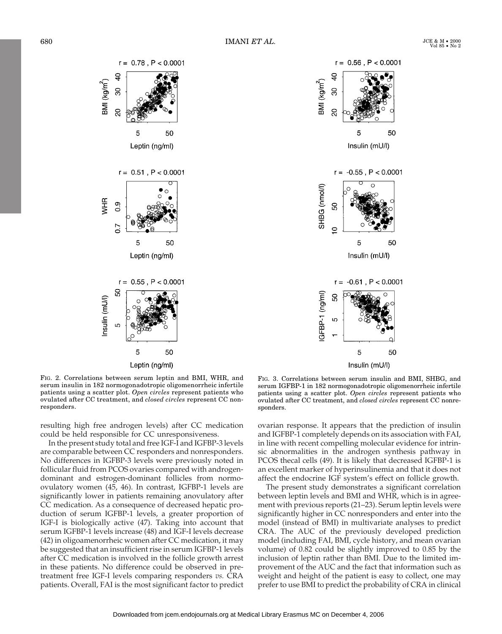

FIG. 2. Correlations between serum leptin and BMI, WHR, and serum insulin in 182 normogonadotropic oligomenorrheic infertile patients using a scatter plot. *Open circles* represent patients who ovulated after CC treatment, and *closed circles* represent CC nonresponders.

resulting high free androgen levels) after CC medication could be held responsible for CC unresponsiveness.

In the present study total and free IGF-I and IGFBP-3 levels are comparable between CC responders and nonresponders. No differences in IGFBP-3 levels were previously noted in follicular fluid from PCOS ovaries compared with androgendominant and estrogen-dominant follicles from normoovulatory women (45, 46). In contrast, IGFBP-1 levels are significantly lower in patients remaining anovulatory after CC medication. As a consequence of decreased hepatic production of serum IGFBP-1 levels, a greater proportion of IGF-I is biologically active (47). Taking into account that serum IGFBP-1 levels increase (48) and IGF-I levels decrease (42) in oligoamenorrheic women after CC medication, it may be suggested that an insufficient rise in serum IGFBP-1 levels after CC medication is involved in the follicle growth arrest in these patients. No difference could be observed in pretreatment free IGF-I levels comparing responders *vs.* CRA patients. Overall, FAI is the most significant factor to predict



FIG. 3. Correlations between serum insulin and BMI, SHBG, and serum IGFBP-1 in 182 normogonadotropic oligomenorrheic infertile patients using a scatter plot. *Open circles* represent patients who ovulated after CC treatment, and *closed circles* represent CC nonresponders.

ovarian response. It appears that the prediction of insulin and IGFBP-1 completely depends on its association with FAI, in line with recent compelling molecular evidence for intrinsic abnormalities in the androgen synthesis pathway in PCOS thecal cells (49). It is likely that decreased IGFBP-1 is an excellent marker of hyperinsulinemia and that it does not affect the endocrine IGF system's effect on follicle growth.

The present study demonstrates a significant correlation between leptin levels and BMI and WHR, which is in agreement with previous reports (21–23). Serum leptin levels were significantly higher in CC nonresponders and enter into the model (instead of BMI) in multivariate analyses to predict CRA. The AUC of the previously developed prediction model (including FAI, BMI, cycle history, and mean ovarian volume) of 0.82 could be slightly improved to 0.85 by the inclusion of leptin rather than BMI. Due to the limited improvement of the AUC and the fact that information such as weight and height of the patient is easy to collect, one may prefer to use BMI to predict the probability of CRA in clinical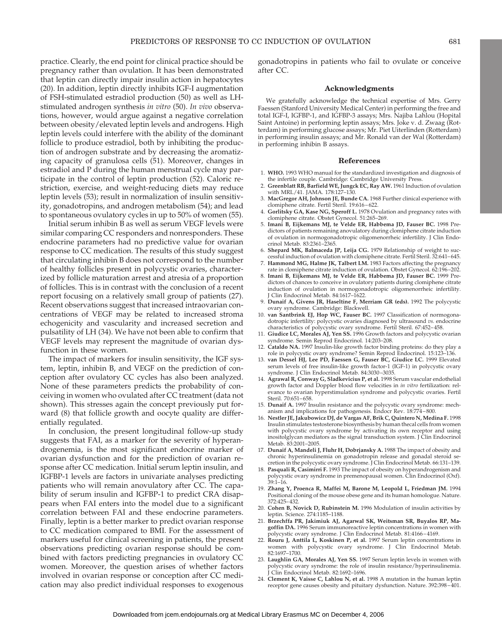practice. Clearly, the end point for clinical practice should be pregnancy rather than ovulation. It has been demonstrated that leptin can directly impair insulin action in hepatocytes (20). In addition, leptin directly inhibits IGF-I augmentation of FSH-stimulated estradiol production (50) as well as LHstimulated androgen synthesis *in vitro* (50). *In vivo* observations, however, would argue against a negative correlation between obesity/elevated leptin levels and androgens. High leptin levels could interfere with the ability of the dominant follicle to produce estradiol, both by inhibiting the production of androgen substrate and by decreasing the aromatizing capacity of granulosa cells (51). Moreover, changes in estradiol and P during the human menstrual cycle may participate in the control of leptin production (52). Caloric restriction, exercise, and weight-reducing diets may reduce leptin levels (53); result in normalization of insulin sensitivity, gonadotropins, and androgen metabolism (54); and lead to spontaneous ovulatory cycles in up to 50% of women (55).

Initial serum inhibin B as well as serum VEGF levels were similar comparing CC responders and nonresponders. These endocrine parameters had no predictive value for ovarian response to CC medication. The results of this study suggest that circulating inhibin B does not correspond to the number of healthy follicles present in polycystic ovaries, characterized by follicle maturation arrest and atresia of a proportion of follicles. This is in contrast with the conclusion of a recent report focusing on a relatively small group of patients (27). Recent observations suggest that increased intraovarian concentrations of VEGF may be related to increased stroma echogenicity and vascularity and increased secretion and pulsatility of LH (34). We have not been able to confirm that VEGF levels may represent the magnitude of ovarian dysfunction in these women.

The impact of markers for insulin sensitivity, the IGF system, leptin, inhibin B, and VEGF on the prediction of conception after ovulatory CC cycles has also been analyzed. None of these parameters predicts the probability of conceiving in women who ovulated after CC treatment (data not shown). This stresses again the concept previously put forward (8) that follicle growth and oocyte quality are differentially regulated.

In conclusion, the present longitudinal follow-up study suggests that FAI, as a marker for the severity of hyperandrogenemia, is the most significant endocrine marker of ovarian dysfunction and for the prediction of ovarian response after CC medication. Initial serum leptin insulin, and IGFBP-1 levels are factors in univariate analyses predicting patients who will remain anovulatory after CC. The capability of serum insulin and IGFBP-1 to predict CRA disappears when FAI enters into the model due to a significant correlation between FAI and these endocrine parameters. Finally, leptin is a better marker to predict ovarian response to CC medication compared to BMI. For the assessment of markers useful for clinical screening in patients, the present observations predicting ovarian response should be combined with factors predicting pregnancies in ovulatory CC women. Moreover, the question arises of whether factors involved in ovarian response or conception after CC medication may also predict individual responses to exogenous

gonadotropins in patients who fail to ovulate or conceive after CC.

# **Acknowledgments**

We gratefully acknowledge the technical expertise of Mrs. Gerry Faessen (Stanford University Medical Center) in performing the free and total IGF-I, IGFBP-1, and IGFBP-3 assays; Mrs. Najiba Lahlou (Hopital Saint Antoine) in performing leptin assays; Mrs. Joke v. d. Zwaag (Rotterdam) in performing glucose assays; Mr. Piet Uiterlinden (Rotterdam) in performing insulin assays; and Mr. Ronald van der Wal (Rotterdam) in performing inhibin B assays.

#### **References**

- 1. **WHO.** 1993 WHO manual for the standardized investigation and diagnosis of
- the infertile couple. Cambridge: Cambridge University Press. 2. **Greenblatt RB, Barfield WE, Jungck EC, Ray AW.** 1961 Induction of ovulation with MRL/41. JAMA. 178:127–130.
- 3. **MacGregor AH, Johnson JE, Bunde CA.** 1968 Further clinical experience with clomiphene citrate. Fertil Steril. 19:616–622.
- 4. **Gorlitsky GA, Kase NG, Speroff L.** 1978 Ovulation and pregnancy rates with
- clomiphene citrate. Obstet Gynecol. 51:265–269. 5. **Imani B, Eijkemans MJ, te Velde ER, Habbema JD, Fauser BC.** 1998 Predictors of patients remaining anovulatory during clomiphene citrate induction of ovulation in normogonadotropic oligomenorrheic infertility. J Clin Endocrinol Metab. 83:2361–2365.
- 6. **Shepard MK, Balmaceda JP, Leija CG.** 1979 Relationship of weight to successful induction of ovulation with clomiphene citrate. Fertil Steril. 32:641–645.
- 7. **Hammond MG, Halme JK, Talbert LM.** 1983 Factors affecting the pregnancy rate in clomiphene citrate induction of ovulation. Obstet Gynecol. 62:196–202.
- 8. **Imani B, Eijkemans MJ, te Velde ER, Habbema JD, Fauser BC.** 1999 Predictors of chances to conceive in ovulatory patients during clomiphene citrate induction of ovulation in normogonadotropic oligomenorrheic infertility. Clin Endocrinol Metab. 84:1617-1622.
- 9. **Dunaif A, Givens JR, Haseltine F, Merriam GR (eds).** 1992 The polycystic ovary syndrome. Cambridge: Blackwell.
- 10. **van Santbrink EJ, Hop WC, Fauser BC.** 1997 Classification of normogonadotropic infertility: polycystic ovaries diagnosed by ultrasound *vs.* endocrine characteristics of polycystic ovary syndrome. Fertil Steril. 67:452–458.
- 11. **Giudice LC, Morales AJ, Yen SS.** 1996 Growth factors and polycystic ovarian syndrome. Semin Reprod Endocrinol. 14:203–208.
- 12. **Cataldo NA.** 1997 Insulin-like growth factor binding proteins: do they play a role in polycystic ovary syndrome? Semin Reprod Endocrinol. 15:123–136.
- 13. **van Dessel HJ, Lee PD, Faessen G, Fauser BC, Giudice LC.** 1999 Elevated serum levels of free insulin-like growth factor-1 (IGF-1) in polycystic ovary syndrome. J Clin Endocrinol Metab. 84:3030–3035.
- 14. **Agrawal R, Conway G, Sladkevicius P, et al.** 1998 Serum vascular endothelial growth factor and Doppler blood flow velocities in *in vitro* fertilization: relevance to ovarian hyperstimulation syndrome and polycystic ovaries. Fertil Steril. 70:651–658.
- 15. **Dunaif A.** 1997 Insulin resistance and the polycystic ovary syndrome: mech-
- anism and implications for pathogenesis. Endocr Rev. 18:774–800. 16. **Nestler JE, Jakubowicz DJ, de Vargas AF, Brik C, Quintero N, Medina F.** 1998 Insulin stimulates testosterone biosynthesis by human thecal cells from women with polycystic ovary syndrome by activating its own receptor and using inositolglycan mediators as the signal transduction system. J Clin Endocrinol Metab. 83:2001–2005.
- 17. **Dunaif A, Mandeli J, Fluhr H, Dobrjansky A.** 1988 The impact of obesity and chronic hyperinsulinemia on gonadotropin release and gonadal steroid secretion in the polycystic ovary syndrome. J Clin Endocrinol Metab. 66:131–139.
- 18. **Pasquali R, Casimirri F.** 1993 The impact of obesity on hyperandrogenism and polycystic ovary syndrome in premenopausal women. Clin Endocrinol (Oxf).  $39:1 - 16$ .
- 19. **Zhang Y, Proenca R, Maffei M, Barone M, Leopold L, Friedman JM.** 1994 Positional cloning of the mouse obese gene and its human homologue. Nature. 372:425–432.
- 20. **Cohen B, Novick D, Rubinstein M.** 1996 Modulation of insulin activities by leptin. Science. 274:1185–1188.
- 21. **Brzechffa PR, Jakimiuk AJ, Agarwal SK, Weitsman SR, Buyalos RP, Magoffin DA.** 1996 Serum immunoreactive leptin concentrations in women with polycystic ovary syndrome. J Clin Endocrinol Metab. 81:4166–4169.
- 22. **Rouru J, Anttila L, Koskinen P, et al.** 1997 Serum leptin concentrations in women with polycystic ovary syndrome. J Clin Endocrinol Metab. 82:1697–1700.
- 23. **Laughlin GA, Morales AJ, Yen SS.** 1997 Serum leptin levels in women with polycystic ovary syndrome: the role of insulin resistance/hyperinsulinemia. J Clin Endocrinol Metab. 82:1692–1696.
- 24. **Clement K, Vaisse C, Lahlou N, et al.** 1998 A mutation in the human leptin receptor gene causes obesity and pituitary dysfunction. Nature. 392:398–401.